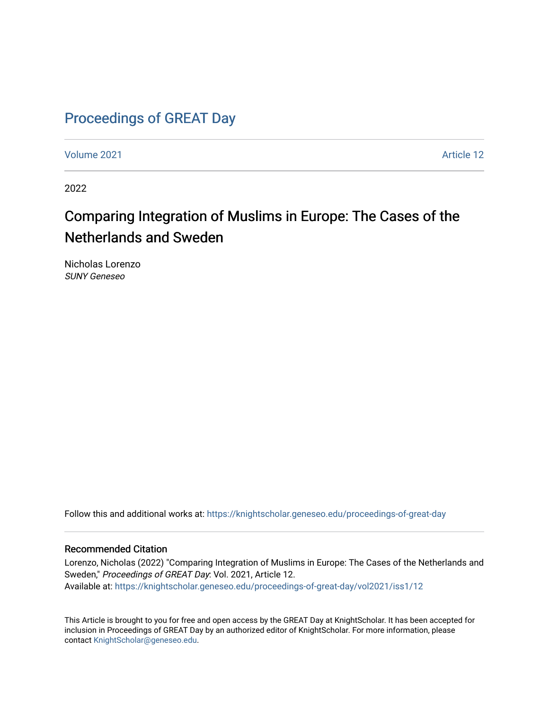# [Proceedings of GREAT Day](https://knightscholar.geneseo.edu/proceedings-of-great-day)

[Volume 2021](https://knightscholar.geneseo.edu/proceedings-of-great-day/vol2021) [Article 12](https://knightscholar.geneseo.edu/proceedings-of-great-day/vol2021/iss1/12) 

2022

# Comparing Integration of Muslims in Europe: The Cases of the Netherlands and Sweden

Nicholas Lorenzo SUNY Geneseo

Follow this and additional works at: [https://knightscholar.geneseo.edu/proceedings-of-great-day](https://knightscholar.geneseo.edu/proceedings-of-great-day?utm_source=knightscholar.geneseo.edu%2Fproceedings-of-great-day%2Fvol2021%2Fiss1%2F12&utm_medium=PDF&utm_campaign=PDFCoverPages) 

#### Recommended Citation

Lorenzo, Nicholas (2022) "Comparing Integration of Muslims in Europe: The Cases of the Netherlands and Sweden," Proceedings of GREAT Day: Vol. 2021, Article 12. Available at: [https://knightscholar.geneseo.edu/proceedings-of-great-day/vol2021/iss1/12](https://knightscholar.geneseo.edu/proceedings-of-great-day/vol2021/iss1/12?utm_source=knightscholar.geneseo.edu%2Fproceedings-of-great-day%2Fvol2021%2Fiss1%2F12&utm_medium=PDF&utm_campaign=PDFCoverPages)

This Article is brought to you for free and open access by the GREAT Day at KnightScholar. It has been accepted for inclusion in Proceedings of GREAT Day by an authorized editor of KnightScholar. For more information, please contact [KnightScholar@geneseo.edu.](mailto:KnightScholar@geneseo.edu)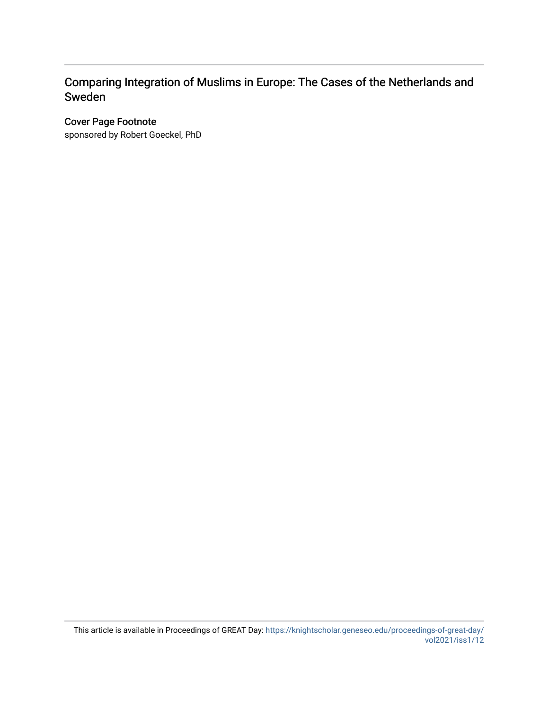#### Comparing Integration of Muslims in Europe: The Cases of the Netherlands and Sweden

#### Cover Page Footnote

sponsored by Robert Goeckel, PhD

This article is available in Proceedings of GREAT Day: [https://knightscholar.geneseo.edu/proceedings-of-great-day/](https://knightscholar.geneseo.edu/proceedings-of-great-day/vol2021/iss1/12) [vol2021/iss1/12](https://knightscholar.geneseo.edu/proceedings-of-great-day/vol2021/iss1/12)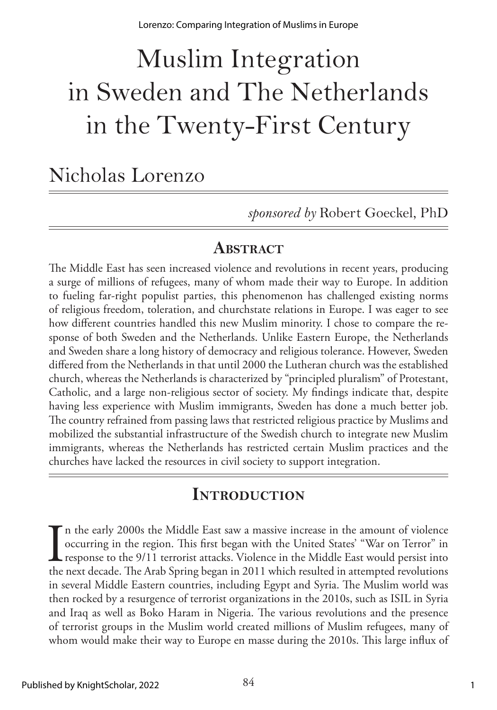# Muslim Integration in Sweden and The Netherlands in the Twenty-First Century

# Nicholas Lorenzo

*sponsored by* Robert Goeckel, PhD

#### **Abstract**

The Middle East has seen increased violence and revolutions in recent years, producing a surge of millions of refugees, many of whom made their way to Europe. In addition to fueling far-right populist parties, this phenomenon has challenged existing norms of religious freedom, toleration, and churchstate relations in Europe. I was eager to see how different countries handled this new Muslim minority. I chose to compare the response of both Sweden and the Netherlands. Unlike Eastern Europe, the Netherlands and Sweden share a long history of democracy and religious tolerance. However, Sweden differed from the Netherlands in that until 2000 the Lutheran church was the established church, whereas the Netherlands is characterized by "principled pluralism" of Protestant, Catholic, and a large non-religious sector of society. My findings indicate that, despite having less experience with Muslim immigrants, Sweden has done a much better job. The country refrained from passing laws that restricted religious practice by Muslims and mobilized the substantial infrastructure of the Swedish church to integrate new Muslim immigrants, whereas the Netherlands has restricted certain Muslim practices and the churches have lacked the resources in civil society to support integration.

## **Introduction**

In the early 2000s the Middle East saw a massive increase in the amount of violence occurring in the region. This first began with the United States' "War on Terror" in response to the 9/11 terrorist attacks. Violence in t n the early 2000s the Middle East saw a massive increase in the amount of violence occurring in the region. This first began with the United States' "War on Terror" in  $\blacksquare$  response to the 9/11 terrorist attacks. Violence in the Middle East would persist into in several Middle Eastern countries, including Egypt and Syria. The Muslim world was then rocked by a resurgence of terrorist organizations in the 2010s, such as ISIL in Syria and Iraq as well as Boko Haram in Nigeria. The various revolutions and the presence of terrorist groups in the Muslim world created millions of Muslim refugees, many of whom would make their way to Europe en masse during the 2010s. This large influx of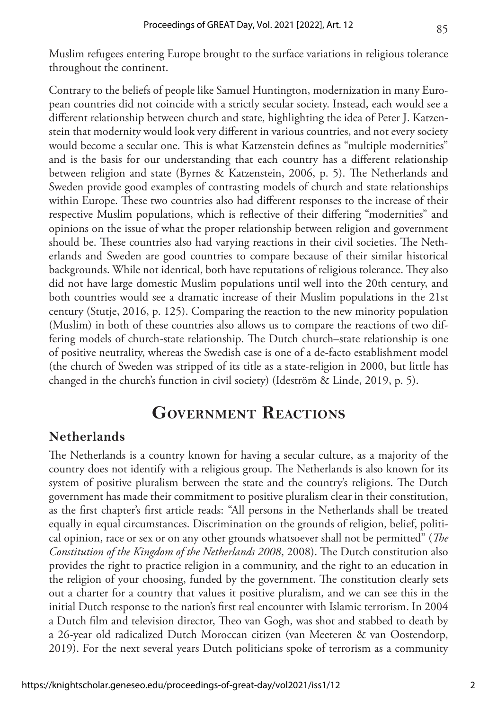Muslim refugees entering Europe brought to the surface variations in religious tolerance throughout the continent.

Contrary to the beliefs of people like Samuel Huntington, modernization in many European countries did not coincide with a strictly secular society. Instead, each would see a different relationship between church and state, highlighting the idea of Peter J. Katzenstein that modernity would look very different in various countries, and not every society would become a secular one. This is what Katzenstein defines as "multiple modernities" and is the basis for our understanding that each country has a different relationship between religion and state (Byrnes & Katzenstein, 2006, p. 5). The Netherlands and Sweden provide good examples of contrasting models of church and state relationships within Europe. These two countries also had different responses to the increase of their respective Muslim populations, which is reflective of their differing "modernities" and opinions on the issue of what the proper relationship between religion and government should be. These countries also had varying reactions in their civil societies. The Netherlands and Sweden are good countries to compare because of their similar historical backgrounds. While not identical, both have reputations of religious tolerance. They also did not have large domestic Muslim populations until well into the 20th century, and both countries would see a dramatic increase of their Muslim populations in the 21st century (Stutje, 2016, p. 125). Comparing the reaction to the new minority population (Muslim) in both of these countries also allows us to compare the reactions of two differing models of church-state relationship. The Dutch church–state relationship is one of positive neutrality, whereas the Swedish case is one of a de-facto establishment model (the church of Sweden was stripped of its title as a state-religion in 2000, but little has changed in the church's function in civil society) (Ideström & Linde, 2019, p. 5).

## **Government Reactions**

#### **Netherlands**

The Netherlands is a country known for having a secular culture, as a majority of the country does not identify with a religious group. The Netherlands is also known for its system of positive pluralism between the state and the country's religions. The Dutch government has made their commitment to positive pluralism clear in their constitution, as the first chapter's first article reads: "All persons in the Netherlands shall be treated equally in equal circumstances. Discrimination on the grounds of religion, belief, political opinion, race or sex or on any other grounds whatsoever shall not be permitted" (*The Constitution of the Kingdom of the Netherlands 2008*, 2008). The Dutch constitution also provides the right to practice religion in a community, and the right to an education in the religion of your choosing, funded by the government. The constitution clearly sets out a charter for a country that values it positive pluralism, and we can see this in the initial Dutch response to the nation's first real encounter with Islamic terrorism. In 2004 a Dutch film and television director, Theo van Gogh, was shot and stabbed to death by a 26-year old radicalized Dutch Moroccan citizen (van Meeteren & van Oostendorp, 2019). For the next several years Dutch politicians spoke of terrorism as a community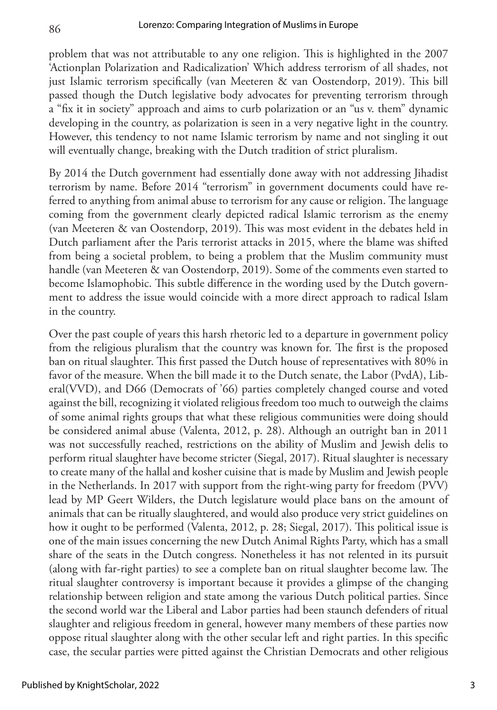problem that was not attributable to any one religion. This is highlighted in the 2007 'Actionplan Polarization and Radicalization' Which address terrorism of all shades, not just Islamic terrorism specifically (van Meeteren & van Oostendorp, 2019). This bill passed though the Dutch legislative body advocates for preventing terrorism through a "fix it in society" approach and aims to curb polarization or an "us v. them" dynamic developing in the country, as polarization is seen in a very negative light in the country. However, this tendency to not name Islamic terrorism by name and not singling it out will eventually change, breaking with the Dutch tradition of strict pluralism.

By 2014 the Dutch government had essentially done away with not addressing Jihadist terrorism by name. Before 2014 "terrorism" in government documents could have referred to anything from animal abuse to terrorism for any cause or religion. The language coming from the government clearly depicted radical Islamic terrorism as the enemy (van Meeteren & van Oostendorp, 2019). This was most evident in the debates held in Dutch parliament after the Paris terrorist attacks in 2015, where the blame was shifted from being a societal problem, to being a problem that the Muslim community must handle (van Meeteren & van Oostendorp, 2019). Some of the comments even started to become Islamophobic. This subtle difference in the wording used by the Dutch government to address the issue would coincide with a more direct approach to radical Islam in the country.

Over the past couple of years this harsh rhetoric led to a departure in government policy from the religious pluralism that the country was known for. The first is the proposed ban on ritual slaughter. This first passed the Dutch house of representatives with 80% in favor of the measure. When the bill made it to the Dutch senate, the Labor (PvdA), Liberal(VVD), and D66 (Democrats of '66) parties completely changed course and voted against the bill, recognizing it violated religious freedom too much to outweigh the claims of some animal rights groups that what these religious communities were doing should be considered animal abuse (Valenta, 2012, p. 28). Although an outright ban in 2011 was not successfully reached, restrictions on the ability of Muslim and Jewish delis to perform ritual slaughter have become stricter (Siegal, 2017). Ritual slaughter is necessary to create many of the hallal and kosher cuisine that is made by Muslim and Jewish people in the Netherlands. In 2017 with support from the right-wing party for freedom (PVV) lead by MP Geert Wilders, the Dutch legislature would place bans on the amount of animals that can be ritually slaughtered, and would also produce very strict guidelines on how it ought to be performed (Valenta, 2012, p. 28; Siegal, 2017). This political issue is one of the main issues concerning the new Dutch Animal Rights Party, which has a small share of the seats in the Dutch congress. Nonetheless it has not relented in its pursuit (along with far-right parties) to see a complete ban on ritual slaughter become law. The ritual slaughter controversy is important because it provides a glimpse of the changing relationship between religion and state among the various Dutch political parties. Since the second world war the Liberal and Labor parties had been staunch defenders of ritual slaughter and religious freedom in general, however many members of these parties now oppose ritual slaughter along with the other secular left and right parties. In this specific case, the secular parties were pitted against the Christian Democrats and other religious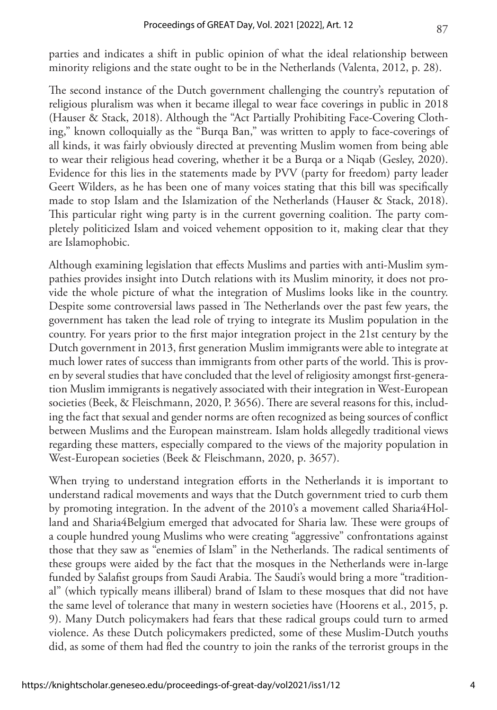parties and indicates a shift in public opinion of what the ideal relationship between minority religions and the state ought to be in the Netherlands (Valenta, 2012, p. 28).

The second instance of the Dutch government challenging the country's reputation of religious pluralism was when it became illegal to wear face coverings in public in 2018 (Hauser & Stack, 2018). Although the "Act Partially Prohibiting Face-Covering Clothing," known colloquially as the "Burqa Ban," was written to apply to face-coverings of all kinds, it was fairly obviously directed at preventing Muslim women from being able to wear their religious head covering, whether it be a Burqa or a Niqab (Gesley, 2020). Evidence for this lies in the statements made by PVV (party for freedom) party leader Geert Wilders, as he has been one of many voices stating that this bill was specifically made to stop Islam and the Islamization of the Netherlands (Hauser & Stack, 2018). This particular right wing party is in the current governing coalition. The party completely politicized Islam and voiced vehement opposition to it, making clear that they are Islamophobic.

Although examining legislation that effects Muslims and parties with anti-Muslim sympathies provides insight into Dutch relations with its Muslim minority, it does not provide the whole picture of what the integration of Muslims looks like in the country. Despite some controversial laws passed in The Netherlands over the past few years, the government has taken the lead role of trying to integrate its Muslim population in the country. For years prior to the first major integration project in the 21st century by the Dutch government in 2013, first generation Muslim immigrants were able to integrate at much lower rates of success than immigrants from other parts of the world. This is proven by several studies that have concluded that the level of religiosity amongst first-generation Muslim immigrants is negatively associated with their integration in West-European societies (Beek, & Fleischmann, 2020, P. 3656). There are several reasons for this, including the fact that sexual and gender norms are often recognized as being sources of conflict between Muslims and the European mainstream. Islam holds allegedly traditional views regarding these matters, especially compared to the views of the majority population in West-European societies (Beek & Fleischmann, 2020, p. 3657).

When trying to understand integration efforts in the Netherlands it is important to understand radical movements and ways that the Dutch government tried to curb them by promoting integration. In the advent of the 2010's a movement called Sharia4Holland and Sharia4Belgium emerged that advocated for Sharia law. These were groups of a couple hundred young Muslims who were creating "aggressive" confrontations against those that they saw as "enemies of Islam" in the Netherlands. The radical sentiments of these groups were aided by the fact that the mosques in the Netherlands were in-large funded by Salafist groups from Saudi Arabia. The Saudi's would bring a more "traditional" (which typically means illiberal) brand of Islam to these mosques that did not have the same level of tolerance that many in western societies have (Hoorens et al., 2015, p. 9). Many Dutch policymakers had fears that these radical groups could turn to armed violence. As these Dutch policymakers predicted, some of these Muslim-Dutch youths did, as some of them had fled the country to join the ranks of the terrorist groups in the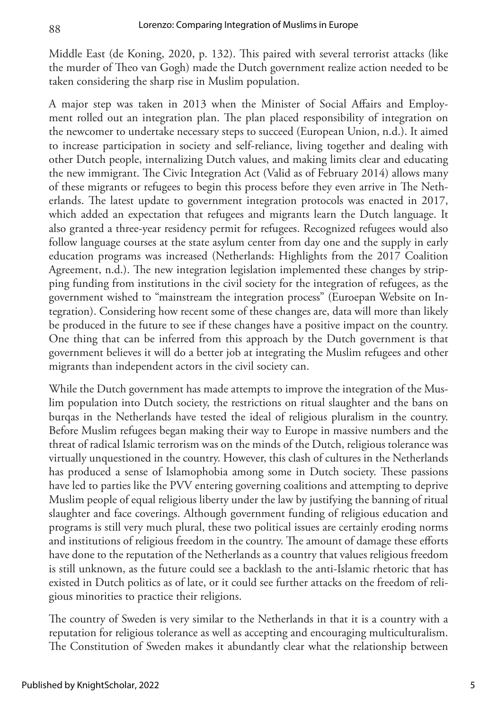Middle East (de Koning, 2020, p. 132). This paired with several terrorist attacks (like the murder of Theo van Gogh) made the Dutch government realize action needed to be taken considering the sharp rise in Muslim population.

A major step was taken in 2013 when the Minister of Social Affairs and Employment rolled out an integration plan. The plan placed responsibility of integration on the newcomer to undertake necessary steps to succeed (European Union, n.d.). It aimed to increase participation in society and self-reliance, living together and dealing with other Dutch people, internalizing Dutch values, and making limits clear and educating the new immigrant. The Civic Integration Act (Valid as of February 2014) allows many of these migrants or refugees to begin this process before they even arrive in The Netherlands. The latest update to government integration protocols was enacted in 2017, which added an expectation that refugees and migrants learn the Dutch language. It also granted a three-year residency permit for refugees. Recognized refugees would also follow language courses at the state asylum center from day one and the supply in early education programs was increased (Netherlands: Highlights from the 2017 Coalition Agreement, n.d.). The new integration legislation implemented these changes by stripping funding from institutions in the civil society for the integration of refugees, as the government wished to "mainstream the integration process" (Euroepan Website on Integration). Considering how recent some of these changes are, data will more than likely be produced in the future to see if these changes have a positive impact on the country. One thing that can be inferred from this approach by the Dutch government is that government believes it will do a better job at integrating the Muslim refugees and other migrants than independent actors in the civil society can.

While the Dutch government has made attempts to improve the integration of the Muslim population into Dutch society, the restrictions on ritual slaughter and the bans on burqas in the Netherlands have tested the ideal of religious pluralism in the country. Before Muslim refugees began making their way to Europe in massive numbers and the threat of radical Islamic terrorism was on the minds of the Dutch, religious tolerance was virtually unquestioned in the country. However, this clash of cultures in the Netherlands has produced a sense of Islamophobia among some in Dutch society. These passions have led to parties like the PVV entering governing coalitions and attempting to deprive Muslim people of equal religious liberty under the law by justifying the banning of ritual slaughter and face coverings. Although government funding of religious education and programs is still very much plural, these two political issues are certainly eroding norms and institutions of religious freedom in the country. The amount of damage these efforts have done to the reputation of the Netherlands as a country that values religious freedom is still unknown, as the future could see a backlash to the anti-Islamic rhetoric that has existed in Dutch politics as of late, or it could see further attacks on the freedom of religious minorities to practice their religions.

The country of Sweden is very similar to the Netherlands in that it is a country with a reputation for religious tolerance as well as accepting and encouraging multiculturalism. The Constitution of Sweden makes it abundantly clear what the relationship between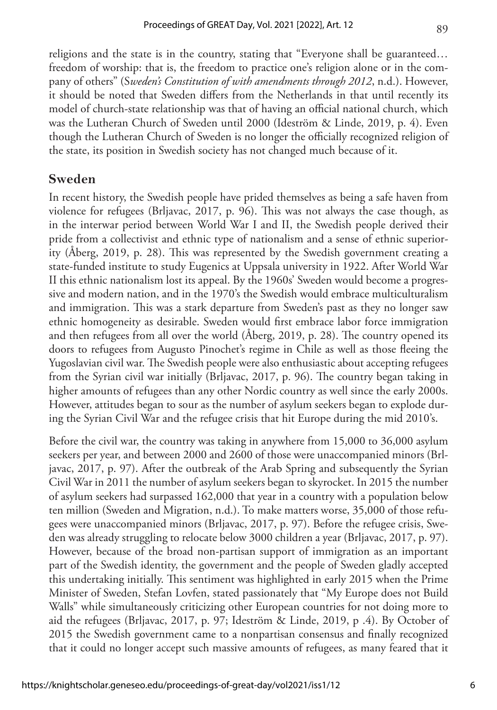religions and the state is in the country, stating that "Everyone shall be guaranteed… freedom of worship: that is, the freedom to practice one's religion alone or in the company of others" (S*weden's Constitution of with amendments through 2012*, n.d.). However, it should be noted that Sweden differs from the Netherlands in that until recently its model of church-state relationship was that of having an official national church, which was the Lutheran Church of Sweden until 2000 (Ideström & Linde, 2019, p. 4). Even though the Lutheran Church of Sweden is no longer the officially recognized religion of the state, its position in Swedish society has not changed much because of it.

#### **Sweden**

In recent history, the Swedish people have prided themselves as being a safe haven from violence for refugees (Brljavac, 2017, p. 96). This was not always the case though, as in the interwar period between World War I and II, the Swedish people derived their pride from a collectivist and ethnic type of nationalism and a sense of ethnic superiority (Åberg, 2019, p. 28). This was represented by the Swedish government creating a state-funded institute to study Eugenics at Uppsala university in 1922. After World War II this ethnic nationalism lost its appeal. By the 1960s' Sweden would become a progressive and modern nation, and in the 1970's the Swedish would embrace multiculturalism and immigration. This was a stark departure from Sweden's past as they no longer saw ethnic homogeneity as desirable. Sweden would first embrace labor force immigration and then refugees from all over the world (Åberg, 2019, p. 28). The country opened its doors to refugees from Augusto Pinochet's regime in Chile as well as those fleeing the Yugoslavian civil war. The Swedish people were also enthusiastic about accepting refugees from the Syrian civil war initially (Brljavac, 2017, p. 96). The country began taking in higher amounts of refugees than any other Nordic country as well since the early 2000s. However, attitudes began to sour as the number of asylum seekers began to explode during the Syrian Civil War and the refugee crisis that hit Europe during the mid 2010's.

Before the civil war, the country was taking in anywhere from 15,000 to 36,000 asylum seekers per year, and between 2000 and 2600 of those were unaccompanied minors (Brljavac, 2017, p. 97). After the outbreak of the Arab Spring and subsequently the Syrian Civil War in 2011 the number of asylum seekers began to skyrocket. In 2015 the number of asylum seekers had surpassed 162,000 that year in a country with a population below ten million (Sweden and Migration, n.d.). To make matters worse, 35,000 of those refugees were unaccompanied minors (Brljavac, 2017, p. 97). Before the refugee crisis, Sweden was already struggling to relocate below 3000 children a year (Brljavac, 2017, p. 97). However, because of the broad non-partisan support of immigration as an important part of the Swedish identity, the government and the people of Sweden gladly accepted this undertaking initially. This sentiment was highlighted in early 2015 when the Prime Minister of Sweden, Stefan Lovfen, stated passionately that "My Europe does not Build Walls" while simultaneously criticizing other European countries for not doing more to aid the refugees (Brljavac, 2017, p. 97; Ideström & Linde, 2019, p .4). By October of 2015 the Swedish government came to a nonpartisan consensus and finally recognized that it could no longer accept such massive amounts of refugees, as many feared that it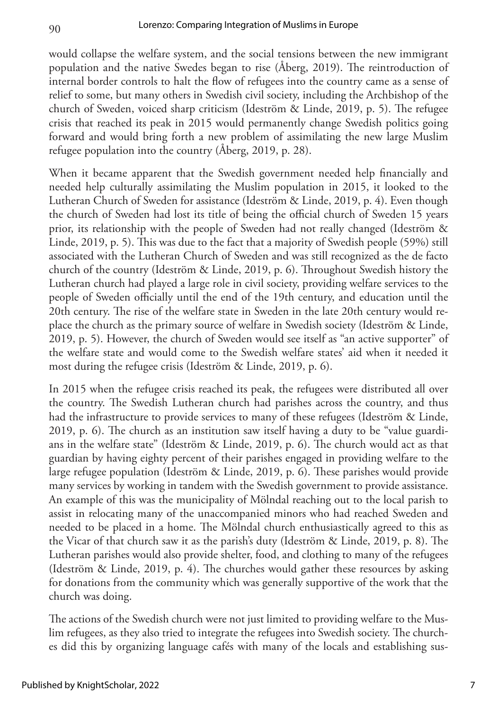would collapse the welfare system, and the social tensions between the new immigrant population and the native Swedes began to rise (Åberg, 2019). The reintroduction of internal border controls to halt the flow of refugees into the country came as a sense of relief to some, but many others in Swedish civil society, including the Archbishop of the church of Sweden, voiced sharp criticism (Ideström & Linde, 2019, p. 5). The refugee crisis that reached its peak in 2015 would permanently change Swedish politics going forward and would bring forth a new problem of assimilating the new large Muslim refugee population into the country (Åberg, 2019, p. 28).

When it became apparent that the Swedish government needed help financially and needed help culturally assimilating the Muslim population in 2015, it looked to the Lutheran Church of Sweden for assistance (Ideström & Linde, 2019, p. 4). Even though the church of Sweden had lost its title of being the official church of Sweden 15 years prior, its relationship with the people of Sweden had not really changed (Ideström & Linde, 2019, p. 5). This was due to the fact that a majority of Swedish people (59%) still associated with the Lutheran Church of Sweden and was still recognized as the de facto church of the country (Ideström & Linde, 2019, p. 6). Throughout Swedish history the Lutheran church had played a large role in civil society, providing welfare services to the people of Sweden officially until the end of the 19th century, and education until the 20th century. The rise of the welfare state in Sweden in the late 20th century would replace the church as the primary source of welfare in Swedish society (Ideström & Linde, 2019, p. 5). However, the church of Sweden would see itself as "an active supporter" of the welfare state and would come to the Swedish welfare states' aid when it needed it most during the refugee crisis (Ideström & Linde, 2019, p. 6).

In 2015 when the refugee crisis reached its peak, the refugees were distributed all over the country. The Swedish Lutheran church had parishes across the country, and thus had the infrastructure to provide services to many of these refugees (Ideström & Linde, 2019, p. 6). The church as an institution saw itself having a duty to be "value guardians in the welfare state" (Ideström & Linde, 2019, p. 6). The church would act as that guardian by having eighty percent of their parishes engaged in providing welfare to the large refugee population (Ideström & Linde, 2019, p. 6). These parishes would provide many services by working in tandem with the Swedish government to provide assistance. An example of this was the municipality of Mölndal reaching out to the local parish to assist in relocating many of the unaccompanied minors who had reached Sweden and needed to be placed in a home. The Mölndal church enthusiastically agreed to this as the Vicar of that church saw it as the parish's duty (Ideström & Linde, 2019, p. 8). The Lutheran parishes would also provide shelter, food, and clothing to many of the refugees (Ideström & Linde, 2019, p. 4). The churches would gather these resources by asking for donations from the community which was generally supportive of the work that the church was doing.

The actions of the Swedish church were not just limited to providing welfare to the Muslim refugees, as they also tried to integrate the refugees into Swedish society. The churches did this by organizing language cafés with many of the locals and establishing sus-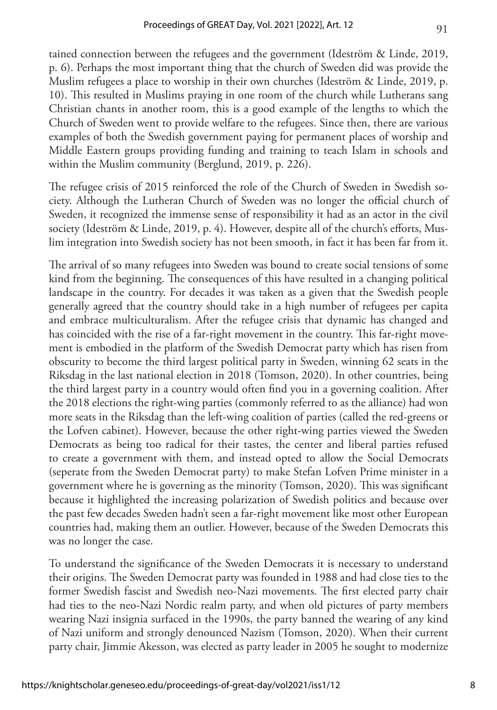tained connection between the refugees and the government (Ideström & Linde, 2019, p. 6). Perhaps the most important thing that the church of Sweden did was provide the Muslim refugees a place to worship in their own churches (Ideström & Linde, 2019, p. 10). This resulted in Muslims praying in one room of the church while Lutherans sang Christian chants in another room, this is a good example of the lengths to which the Church of Sweden went to provide welfare to the refugees. Since then, there are various examples of both the Swedish government paying for permanent places of worship and Middle Eastern groups providing funding and training to teach Islam in schools and within the Muslim community (Berglund, 2019, p. 226).

The refugee crisis of 2015 reinforced the role of the Church of Sweden in Swedish society. Although the Lutheran Church of Sweden was no longer the official church of Sweden, it recognized the immense sense of responsibility it had as an actor in the civil society (Ideström & Linde, 2019, p. 4). However, despite all of the church's efforts, Muslim integration into Swedish society has not been smooth, in fact it has been far from it.

The arrival of so many refugees into Sweden was bound to create social tensions of some kind from the beginning. The consequences of this have resulted in a changing political landscape in the country. For decades it was taken as a given that the Swedish people generally agreed that the country should take in a high number of refugees per capita and embrace multiculturalism. After the refugee crisis that dynamic has changed and has coincided with the rise of a far-right movement in the country. This far-right movement is embodied in the platform of the Swedish Democrat party which has risen from obscurity to become the third largest political party in Sweden, winning 62 seats in the Riksdag in the last national election in 2018 (Tomson, 2020). In other countries, being the third largest party in a country would often find you in a governing coalition. After the 2018 elections the right-wing parties (commonly referred to as the alliance) had won more seats in the Riksdag than the left-wing coalition of parties (called the red-greens or the Lofven cabinet). However, because the other right-wing parties viewed the Sweden Democrats as being too radical for their tastes, the center and liberal parties refused to create a government with them, and instead opted to allow the Social Democrats (seperate from the Sweden Democrat party) to make Stefan Lofven Prime minister in a government where he is governing as the minority (Tomson, 2020). This was significant because it highlighted the increasing polarization of Swedish politics and because over the past few decades Sweden hadn't seen a far-right movement like most other European countries had, making them an outlier. However, because of the Sweden Democrats this was no longer the case.

To understand the significance of the Sweden Democrats it is necessary to understand their origins. The Sweden Democrat party was founded in 1988 and had close ties to the former Swedish fascist and Swedish neo-Nazi movements. The first elected party chair had ties to the neo-Nazi Nordic realm party, and when old pictures of party members wearing Nazi insignia surfaced in the 1990s, the party banned the wearing of any kind of Nazi uniform and strongly denounced Nazism (Tomson, 2020). When their current party chair, Jimmie Akesson, was elected as party leader in 2005 he sought to modernize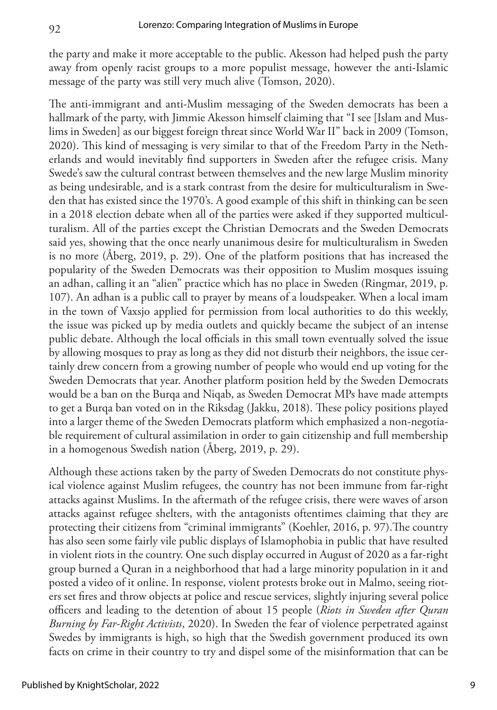the party and make it more acceptable to the public. Akesson had helped push the party away from openly racist groups to a more populist message, however the anti-Islamic message of the party was still very much alive (Tomson, 2020).

The anti-immigrant and anti-Muslim messaging of the Sweden democrats has been a hallmark of the party, with Jimmie Akesson himself claiming that "I see [Islam and Muslims in Sweden] as our biggest foreign threat since World War II" back in 2009 (Tomson, 2020). This kind of messaging is very similar to that of the Freedom Party in the Netherlands and would inevitably find supporters in Sweden after the refugee crisis. Many Swede's saw the cultural contrast between themselves and the new large Muslim minority as being undesirable, and is a stark contrast from the desire for multiculturalism in Sweden that has existed since the 1970's. A good example of this shift in thinking can be seen in a 2018 election debate when all of the parties were asked if they supported multiculturalism. All of the parties except the Christian Democrats and the Sweden Democrats said yes, showing that the once nearly unanimous desire for multiculturalism in Sweden is no more (Åberg, 2019, p. 29). One of the platform positions that has increased the popularity of the Sweden Democrats was their opposition to Muslim mosques issuing an adhan, calling it an "alien" practice which has no place in Sweden (Ringmar, 2019, p. 107). An adhan is a public call to prayer by means of a loudspeaker. When a local imam in the town of Vaxsjo applied for permission from local authorities to do this weekly, the issue was picked up by media outlets and quickly became the subject of an intense public debate. Although the local officials in this small town eventually solved the issue by allowing mosques to pray as long as they did not disturb their neighbors, the issue certainly drew concern from a growing number of people who would end up voting for the Sweden Democrats that year. Another platform position held by the Sweden Democrats would be a ban on the Burqa and Niqab, as Sweden Democrat MPs have made attempts to get a Burqa ban voted on in the Riksdag (Jakku, 2018). These policy positions played into a larger theme of the Sweden Democrats platform which emphasized a non-negotiable requirement of cultural assimilation in order to gain citizenship and full membership in a homogenous Swedish nation (Åberg, 2019, p. 29).

Although these actions taken by the party of Sweden Democrats do not constitute physical violence against Muslim refugees, the country has not been immune from far-right attacks against Muslims. In the aftermath of the refugee crisis, there were waves of arson attacks against refugee shelters, with the antagonists oftentimes claiming that they are protecting their citizens from "criminal immigrants" (Koehler, 2016, p. 97).The country has also seen some fairly vile public displays of Islamophobia in public that have resulted in violent riots in the country. One such display occurred in August of 2020 as a far-right group burned a Quran in a neighborhood that had a large minority population in it and posted a video of it online. In response, violent protests broke out in Malmo, seeing rioters set fires and throw objects at police and rescue services, slightly injuring several police officers and leading to the detention of about 15 people (*Riots in Sweden after Quran Burning by Far-Right Activists*, 2020). In Sweden the fear of violence perpetrated against Swedes by immigrants is high, so high that the Swedish government produced its own facts on crime in their country to try and dispel some of the misinformation that can be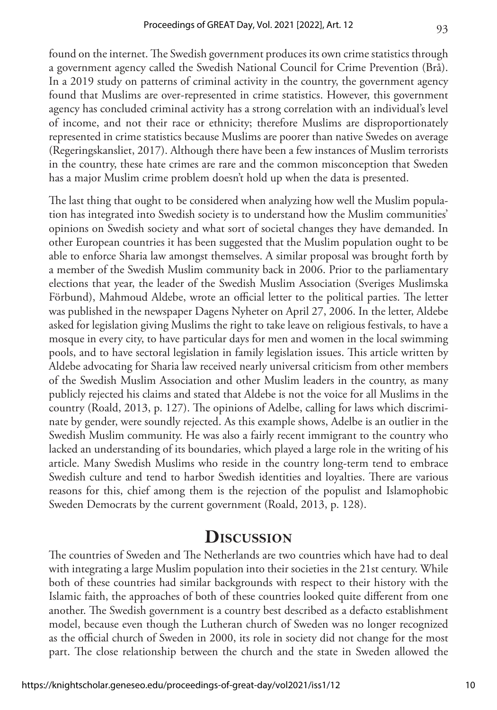found on the internet. The Swedish government produces its own crime statistics through a government agency called the Swedish National Council for Crime Prevention (Brå). In a 2019 study on patterns of criminal activity in the country, the government agency found that Muslims are over-represented in crime statistics. However, this government agency has concluded criminal activity has a strong correlation with an individual's level of income, and not their race or ethnicity; therefore Muslims are disproportionately represented in crime statistics because Muslims are poorer than native Swedes on average (Regeringskansliet, 2017). Although there have been a few instances of Muslim terrorists in the country, these hate crimes are rare and the common misconception that Sweden has a major Muslim crime problem doesn't hold up when the data is presented.

The last thing that ought to be considered when analyzing how well the Muslim population has integrated into Swedish society is to understand how the Muslim communities' opinions on Swedish society and what sort of societal changes they have demanded. In other European countries it has been suggested that the Muslim population ought to be able to enforce Sharia law amongst themselves. A similar proposal was brought forth by a member of the Swedish Muslim community back in 2006. Prior to the parliamentary elections that year, the leader of the Swedish Muslim Association (Sveriges Muslimska Förbund), Mahmoud Aldebe, wrote an official letter to the political parties. The letter was published in the newspaper Dagens Nyheter on April 27, 2006. In the letter, Aldebe asked for legislation giving Muslims the right to take leave on religious festivals, to have a mosque in every city, to have particular days for men and women in the local swimming pools, and to have sectoral legislation in family legislation issues. This article written by Aldebe advocating for Sharia law received nearly universal criticism from other members of the Swedish Muslim Association and other Muslim leaders in the country, as many publicly rejected his claims and stated that Aldebe is not the voice for all Muslims in the country (Roald, 2013, p. 127). The opinions of Adelbe, calling for laws which discriminate by gender, were soundly rejected. As this example shows, Adelbe is an outlier in the Swedish Muslim community. He was also a fairly recent immigrant to the country who lacked an understanding of its boundaries, which played a large role in the writing of his article. Many Swedish Muslims who reside in the country long-term tend to embrace Swedish culture and tend to harbor Swedish identities and loyalties. There are various reasons for this, chief among them is the rejection of the populist and Islamophobic Sweden Democrats by the current government (Roald, 2013, p. 128).

#### **Discussion**

The countries of Sweden and The Netherlands are two countries which have had to deal with integrating a large Muslim population into their societies in the 21st century. While both of these countries had similar backgrounds with respect to their history with the Islamic faith, the approaches of both of these countries looked quite different from one another. The Swedish government is a country best described as a defacto establishment model, because even though the Lutheran church of Sweden was no longer recognized as the official church of Sweden in 2000, its role in society did not change for the most part. The close relationship between the church and the state in Sweden allowed the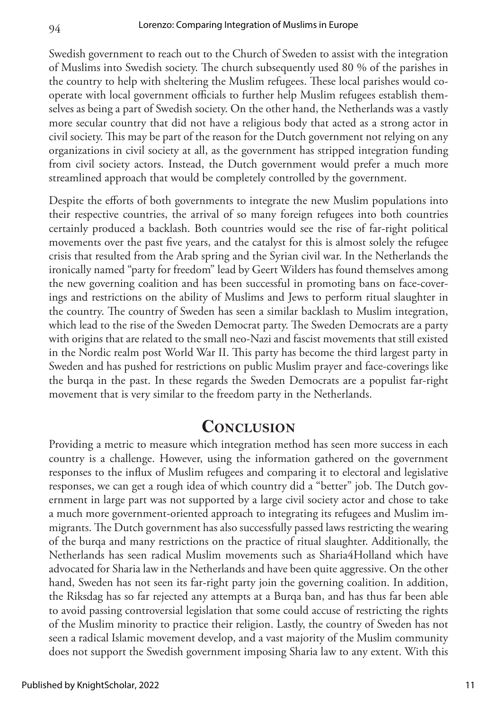Swedish government to reach out to the Church of Sweden to assist with the integration of Muslims into Swedish society. The church subsequently used 80 % of the parishes in the country to help with sheltering the Muslim refugees. These local parishes would cooperate with local government officials to further help Muslim refugees establish themselves as being a part of Swedish society. On the other hand, the Netherlands was a vastly more secular country that did not have a religious body that acted as a strong actor in civil society. This may be part of the reason for the Dutch government not relying on any organizations in civil society at all, as the government has stripped integration funding from civil society actors. Instead, the Dutch government would prefer a much more streamlined approach that would be completely controlled by the government.

Despite the efforts of both governments to integrate the new Muslim populations into their respective countries, the arrival of so many foreign refugees into both countries certainly produced a backlash. Both countries would see the rise of far-right political movements over the past five years, and the catalyst for this is almost solely the refugee crisis that resulted from the Arab spring and the Syrian civil war. In the Netherlands the ironically named "party for freedom" lead by Geert Wilders has found themselves among the new governing coalition and has been successful in promoting bans on face-coverings and restrictions on the ability of Muslims and Jews to perform ritual slaughter in the country. The country of Sweden has seen a similar backlash to Muslim integration, which lead to the rise of the Sweden Democrat party. The Sweden Democrats are a party with origins that are related to the small neo-Nazi and fascist movements that still existed in the Nordic realm post World War II. This party has become the third largest party in Sweden and has pushed for restrictions on public Muslim prayer and face-coverings like the burqa in the past. In these regards the Sweden Democrats are a populist far-right movement that is very similar to the freedom party in the Netherlands.

#### **Conclusion**

Providing a metric to measure which integration method has seen more success in each country is a challenge. However, using the information gathered on the government responses to the influx of Muslim refugees and comparing it to electoral and legislative responses, we can get a rough idea of which country did a "better" job. The Dutch government in large part was not supported by a large civil society actor and chose to take a much more government-oriented approach to integrating its refugees and Muslim immigrants. The Dutch government has also successfully passed laws restricting the wearing of the burqa and many restrictions on the practice of ritual slaughter. Additionally, the Netherlands has seen radical Muslim movements such as Sharia4Holland which have advocated for Sharia law in the Netherlands and have been quite aggressive. On the other hand, Sweden has not seen its far-right party join the governing coalition. In addition, the Riksdag has so far rejected any attempts at a Burqa ban, and has thus far been able to avoid passing controversial legislation that some could accuse of restricting the rights of the Muslim minority to practice their religion. Lastly, the country of Sweden has not seen a radical Islamic movement develop, and a vast majority of the Muslim community does not support the Swedish government imposing Sharia law to any extent. With this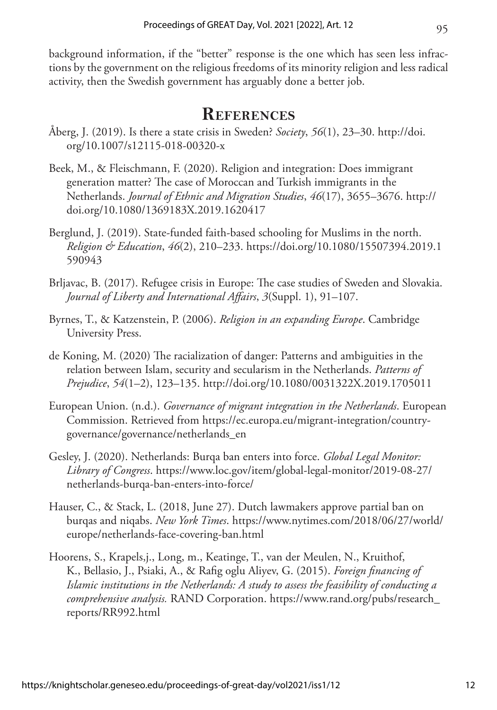background information, if the "better" response is the one which has seen less infractions by the government on the religious freedoms of its minority religion and less radical activity, then the Swedish government has arguably done a better job.

## **References**

- Åberg, J. (2019). Is there a state crisis in Sweden? *Society*, *56*(1), 23–30. [http://doi.](http://doi.org/10.1007/s12115-018-00320-x) [org/10.1007/s12115-018-00320-x](http://doi.org/10.1007/s12115-018-00320-x)
- Beek, M., & Fleischmann, F. (2020). Religion and integration: Does immigrant generation matter? The case of Moroccan and Turkish immigrants in the Netherlands. *Journal of Ethnic and Migration Studies*, *46*(17), 3655–3676. [http://](http://doi.org/10.1080/1369183X.2019.1620417) [doi.org/10.1080/1369183X.2019.1620417](http://doi.org/10.1080/1369183X.2019.1620417)
- Berglund, J. (2019). State-funded faith-based schooling for Muslims in the north. *Religion & Education*, *46*(2), 210–233. [https://doi.org/10.1080/15507394.2019.1](https://doi.org/10.1080/15507394.2019.1590943) [590943](https://doi.org/10.1080/15507394.2019.1590943)
- Brljavac, B. (2017). Refugee crisis in Europe: The case studies of Sweden and Slovakia. *Journal of Liberty and International Affairs*, *3*(Suppl. 1), 91–107.
- Byrnes, T., & Katzenstein, P. (2006). *Religion in an expanding Europe*. Cambridge University Press.
- de Koning, M. (2020) The racialization of danger: Patterns and ambiguities in the relation between Islam, security and secularism in the Netherlands. *Patterns of Prejudice*, *54*(1–2), 123–135. <http://doi.org/10.1080/0031322X.2019.1705011>
- European Union. (n.d.). *Governance of migrant integration in the Netherlands*. European Commission. Retrieved from [https://ec.europa.eu/migrant-integration/country](https://ec.europa.eu/migrant-integration/country-governance/governance/netherlands_en)[governance/governance/netherlands\\_en](https://ec.europa.eu/migrant-integration/country-governance/governance/netherlands_en)
- Gesley, J. (2020). Netherlands: Burqa ban enters into force. *Global Legal Monitor: Library of Congress*. [https://www.loc.gov/item/global-legal-monitor/2019-08-27/](https://www.loc.gov/item/global-legal-monitor/2019-08-27/netherlands-burqa-ban-enters-into-force/) [netherlands-burqa-ban-enters-into-force/](https://www.loc.gov/item/global-legal-monitor/2019-08-27/netherlands-burqa-ban-enters-into-force/)
- Hauser, C., & Stack, L. (2018, June 27). Dutch lawmakers approve partial ban on burqas and niqabs. *New York Times*. [https://www.nytimes.com/2018/06/27/world/](https://www.nytimes.com/2018/06/27/world/europe/netherlands-face-covering-ban.html) [europe/netherlands-face-covering-ban.html](https://www.nytimes.com/2018/06/27/world/europe/netherlands-face-covering-ban.html)
- Hoorens, S., Krapels,j., Long, m., Keatinge, T., van der Meulen, N., Kruithof, K., Bellasio, J., Psiaki, A., & Rafig oglu Aliyev, G. (2015). *Foreign financing of Islamic institutions in the Netherlands: A study to assess the feasibility of conducting a comprehensive analysis.* RAND Corporation. [https://www.rand.org/pubs/research\\_](https://www.rand.org/pubs/research_reports/RR992.html) [reports/RR992.html](https://www.rand.org/pubs/research_reports/RR992.html)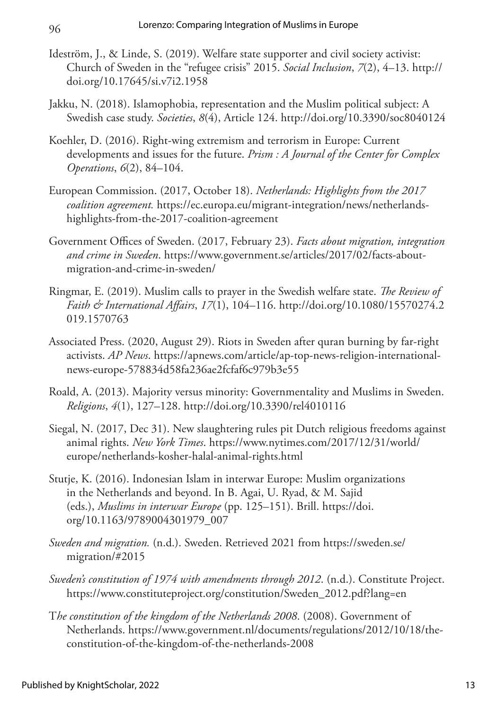- Ideström, J., & Linde, S. (2019). Welfare state supporter and civil society activist: Church of Sweden in the "refugee crisis" 2015. *Social Inclusion*, *7*(2), 4–13. [http://](http://doi.org/10.17645/si.v7i2.1958) [doi.org/10.17645/si.v7i2.1958](http://doi.org/10.17645/si.v7i2.1958)
- Jakku, N. (2018). Islamophobia, representation and the Muslim political subject: A Swedish case study. *Societies*, *8*(4), Article 124. <http://doi.org/10.3390/soc8040124>
- Koehler, D. (2016). Right-wing extremism and terrorism in Europe: Current developments and issues for the future. *Prism : A Journal of the Center for Complex Operations*, *6*(2), 84–104.
- European Commission. (2017, October 18). *Netherlands: Highlights from the 2017 coalition agreement.* [https://ec.europa.eu/migrant-integration/news/netherlands](https://ec.europa.eu/migrant-integration/news/netherlands-highlights-from-the-2017-coalition-agreement)[highlights-from-the-2017-coalition-agreement](https://ec.europa.eu/migrant-integration/news/netherlands-highlights-from-the-2017-coalition-agreement)
- Government Offices of Sweden. (2017, February 23). *Facts about migration, integration and crime in Sweden*. [https://www.government.se/articles/2017/02/facts-about](https://www.government.se/articles/2017/02/facts-about-migration-and-crime-in-sweden/)[migration-and-crime-in-sweden/](https://www.government.se/articles/2017/02/facts-about-migration-and-crime-in-sweden/)
- Ringmar, E. (2019). Muslim calls to prayer in the Swedish welfare state. *The Review of Faith & International Affairs*, *17*(1), 104–116. [http://doi.org/10.1080/15570274.2](http://doi.org/10.1080/15570274.2019.1570763) [019.1570763](http://doi.org/10.1080/15570274.2019.1570763)
- Associated Press. (2020, August 29). Riots in Sweden after quran burning by far-right activists. *AP News*. [https://apnews.com/article/ap-top-news-religion-international](https://apnews.com/article/578834d58fa236ae2fcfaf6c979b3e55)[news-europe-578834d58fa236ae2fcfaf6c979b3e55](https://apnews.com/article/578834d58fa236ae2fcfaf6c979b3e55)
- Roald, A. (2013). Majority versus minority: Governmentality and Muslims in Sweden. *Religions*, *4*(1), 127–128.<http://doi.org/10.3390/rel4010116>
- Siegal, N. (2017, Dec 31). New slaughtering rules pit Dutch religious freedoms against animal rights. *New York Times*. [https://www.nytimes.com/2017/12/31/world/](https://www.nytimes.com/2017/12/31/world/europe/netherlands-kosher-halal-animal-rights.html) [europe/netherlands-kosher-halal-animal-rights.html](https://www.nytimes.com/2017/12/31/world/europe/netherlands-kosher-halal-animal-rights.html)
- Stutje, K. (2016). Indonesian Islam in interwar Europe: Muslim organizations in the Netherlands and beyond. In B. Agai, U. Ryad, & M. Sajid (eds.), *Muslims in interwar Europe* (pp. 125–151). Brill. [https://doi.](https://doi.org/10.1163/9789004301979_007) [org/10.1163/9789004301979\\_007](https://doi.org/10.1163/9789004301979_007)
- *Sweden and migration.* (n.d.). Sweden. Retrieved 2021 from [https://sweden.se/](https://sweden.se/migration/#2015) [migration/#2015](https://sweden.se/migration/#2015)
- *Sweden's constitution of 1974 with amendments through 2012*. (n.d.). Constitute Project. [https://www.constituteproject.org/constitution/Sweden\\_2012.pdf?lang=en](https://www.constituteproject.org/constitution/Sweden_2012.pdf?lang=en)
- T*he constitution of the kingdom of the Netherlands 2008*. (2008). Government of Netherlands. [https://www.government.nl/documents/regulations/2012/10/18/the](https://www.government.nl/documents/regulations/2012/10/18/the-constitution-of-the-kingdom-of-the-netherlands-2008)[constitution-of-the-kingdom-of-the-netherlands-2008](https://www.government.nl/documents/regulations/2012/10/18/the-constitution-of-the-kingdom-of-the-netherlands-2008)